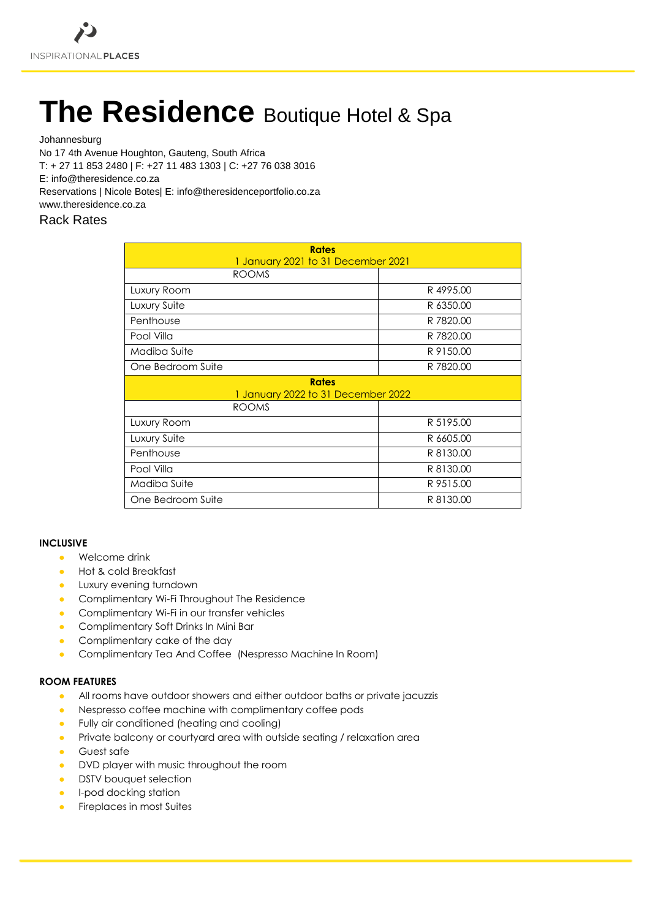# **The Residence Boutique Hotel & Spa**

Johannesburg

No 17 4th Avenue Houghton, Gauteng, South Africa

T: + 27 11 853 2480 | F: +27 11 483 1303 | C: +27 76 038 3016

E: info@theresidence.co.za

Reservations | Nicole Botes| E: info@theresidenceportfolio.co.za

www.theresidence.co.za

# Rack Rates

| <b>Rates</b><br>1 January 2021 to 31 December 2021 |           |
|----------------------------------------------------|-----------|
| <b>ROOMS</b>                                       |           |
| Luxury Room                                        | R4995.00  |
| Luxury Suite                                       | R 6350.00 |
| Penthouse                                          | R 7820.00 |
| Pool Villa                                         | R 7820.00 |
| Madiba Suite                                       | R 9150.00 |
| One Bedroom Suite                                  | R 7820.00 |
| <b>Rates</b><br>1 January 2022 to 31 December 2022 |           |
| <b>ROOMS</b>                                       |           |
| Luxury Room                                        | R 5195.00 |
| Luxury Suite                                       | R 6605.00 |
| Penthouse                                          | R 8130.00 |
| Pool Villa                                         | R 8130.00 |
| Madiba Suite                                       | R 9515.00 |
| One Bedroom Suite                                  | R 8130.00 |

## **INCLUSIVE**

- $\bullet$  Welcome drink
- Hot & cold Breakfast
- **•** Luxury evening turndown
- Complimentary Wi-Fi Throughout The Residence
- Complimentary Wi-Fi in our transfer vehicles
- Complimentary Soft Drinks In Mini Bar
- Complimentary cake of the day
- Complimentary Tea And Coffee (Nespresso Machine In Room)

## **ROOM FEATURES**

- All rooms have outdoor showers and either outdoor baths or private jacuzzis
- Nespresso coffee machine with complimentary coffee pods
- Fully air conditioned (heating and cooling)
- Private balcony or courtyard area with outside seating / relaxation area
- Guest safe
- DVD player with music throughout the room
- **•** DSTV bouquet selection
- **•** I-pod docking station
- **Fireplaces in most Suites**